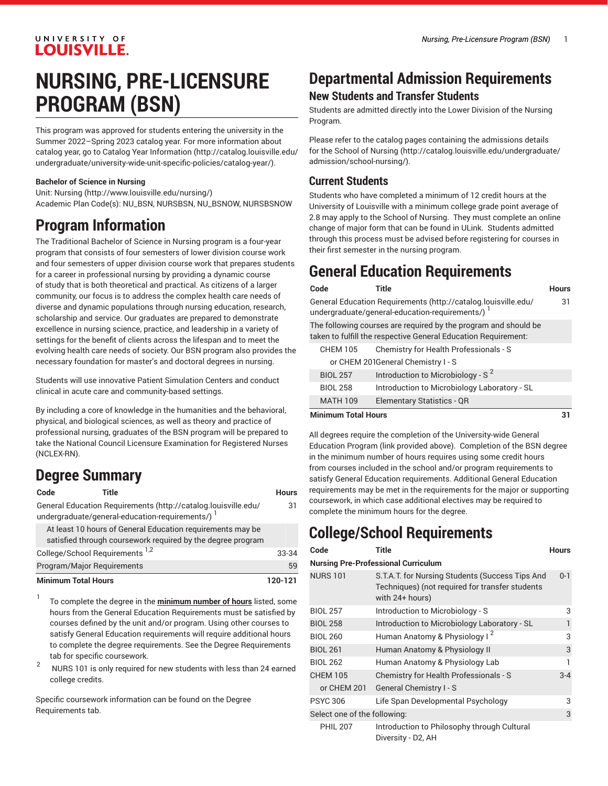### UNIVERSITY OF **LOUISVILLE.**

# **NURSING, PRE-LICENSURE PROGRAM (BSN)**

This program was approved for students entering the university in the Summer 2022–Spring 2023 catalog year. For more information about catalog year, go to Catalog Year [Information](http://catalog.louisville.edu/undergraduate/university-wide-unit-specific-policies/catalog-year/) ([http://catalog.louisville.edu/](http://catalog.louisville.edu/undergraduate/university-wide-unit-specific-policies/catalog-year/) [undergraduate/university-wide-unit-specific-policies/catalog-year/](http://catalog.louisville.edu/undergraduate/university-wide-unit-specific-policies/catalog-year/)).

#### **Bachelor of Science in Nursing**

Unit: [Nursing](http://www.louisville.edu/nursing/) (<http://www.louisville.edu/nursing/>) Academic Plan Code(s): NU\_BSN, NURSBSN, NU\_BSNOW, NURSBSNOW

## **Program Information**

The Traditional Bachelor of Science in Nursing program is a four-year program that consists of four semesters of lower division course work and four semesters of upper division course work that prepares students for a career in professional nursing by providing a dynamic course of study that is both theoretical and practical. As citizens of a larger community, our focus is to address the complex health care needs of diverse and dynamic populations through nursing education, research, scholarship and service. Our graduates are prepared to demonstrate excellence in nursing science, practice, and leadership in a variety of settings for the benefit of clients across the lifespan and to meet the evolving health care needs of society. Our BSN program also provides the necessary foundation for master's and doctoral degrees in nursing.

Students will use innovative Patient Simulation Centers and conduct clinical in acute care and community-based settings.

By including a core of knowledge in the humanities and the behavioral, physical, and biological sciences, as well as theory and practice of professional nursing, graduates of the BSN program will be prepared to take the National Council Licensure Examination for Registered Nurses (NCLEX-RN).

## **Degree Summary**

#### **Code Title Hours**

General Education [Requirements](http://catalog.louisville.edu/undergraduate/general-education-requirements/) ([http://catalog.louisville.edu/](http://catalog.louisville.edu/undergraduate/general-education-requirements/) [undergraduate/general-education-requirements/\)](http://catalog.louisville.edu/undergraduate/general-education-requirements/)<sup>1</sup> 31 At least 10 hours of General Education requirements may be

| <b>Minimum Total Hours</b>                                  | 120-121 |
|-------------------------------------------------------------|---------|
| Program/Major Reguirements                                  | 59      |
| College/School Requirements <sup>1,2</sup>                  | 33-34   |
| satisfied through coursework required by the degree program |         |

1 To complete the degree in the **minimum number of hours** listed, some hours from the General Education Requirements must be satisfied by courses defined by the unit and/or program. Using other courses to satisfy General Education requirements will require additional hours to complete the degree requirements. See the Degree Requirements tab for specific coursework.

2 NURS 101 is only required for new students with less than 24 earned college credits.

Specific coursework information can be found on the Degree Requirements tab.

## **Departmental Admission Requirements New Students and Transfer Students**

Students are admitted directly into the Lower Division of the Nursing Program.

Please refer to the catalog pages containing the [admissions details](http://catalog.louisville.edu/undergraduate/admission/school-nursing/) [for the School of Nursing](http://catalog.louisville.edu/undergraduate/admission/school-nursing/) ([http://catalog.louisville.edu/undergraduate/](http://catalog.louisville.edu/undergraduate/admission/school-nursing/) [admission/school-nursing/\)](http://catalog.louisville.edu/undergraduate/admission/school-nursing/).

### **Current Students**

Students who have completed a minimum of 12 credit hours at the University of Louisville with a minimum college grade point average of 2.8 may apply to the School of Nursing. They must complete an online change of major form that can be found in ULink. Students admitted through this process must be advised before registering for courses in their first semester in the nursing program.

## **General Education Requirements**

| Code | Title                                                               | Hours |
|------|---------------------------------------------------------------------|-------|
|      | General Education Requirements (http://catalog.louisville.edu/      | 31    |
|      | undergraduate/general-education-requirements/)                      |       |
|      | The fellowing compact one monitoral bushes was answer and about the |       |

The following courses are required by the program and should be taken to fulfill the respective General Education Requirement:

| CHEM 105 | Chemistry for Health Professionals - S |
|----------|----------------------------------------|
|          | or CHEM 201General Chemistry I - S     |

| <b>BIOL 257</b> | Introduction to Microbiology - $S^2$         |
|-----------------|----------------------------------------------|
| <b>BIOL 258</b> | Introduction to Microbiology Laboratory - SL |
| <b>MATH 109</b> | <b>Elementary Statistics - QR</b>            |
|                 |                                              |

#### **Minimum Total Hours 31**

All degrees require the completion of the University-wide General Education Program (link provided above). Completion of the BSN degree in the minimum number of hours requires using some credit hours from courses included in the school and/or program requirements to satisfy General Education requirements. Additional General Education requirements may be met in the requirements for the major or supporting coursework, in which case additional electives may be required to complete the minimum hours for the degree.

## **College/School Requirements**

| Code                                       | <b>Title</b>                                                                                                          | <b>Hours</b> |  |  |
|--------------------------------------------|-----------------------------------------------------------------------------------------------------------------------|--------------|--|--|
| <b>Nursing Pre-Professional Curriculum</b> |                                                                                                                       |              |  |  |
| <b>NURS 101</b>                            | S.T.A.T. for Nursing Students (Success Tips And<br>Techniques) (not required for transfer students<br>with 24+ hours) | $0 - 1$      |  |  |
| <b>BIOL 257</b>                            | Introduction to Microbiology - S                                                                                      | 3            |  |  |
| <b>BIOL 258</b>                            | Introduction to Microbiology Laboratory - SL                                                                          | $\mathbf{1}$ |  |  |
| <b>BIOL 260</b>                            | Human Anatomy & Physiology I <sup>2</sup>                                                                             | 3            |  |  |
| <b>BIOL 261</b>                            | Human Anatomy & Physiology II                                                                                         | 3            |  |  |
| <b>BIOL 262</b>                            | Human Anatomy & Physiology Lab                                                                                        | 1            |  |  |
| <b>CHEM 105</b>                            | Chemistry for Health Professionals - S                                                                                | $3 - 4$      |  |  |
| or CHEM 201                                | General Chemistry I - S                                                                                               |              |  |  |
| <b>PSYC 306</b>                            | Life Span Developmental Psychology                                                                                    | 3            |  |  |
| Select one of the following:               |                                                                                                                       | 3            |  |  |
| <b>PHIL 207</b>                            | Introduction to Philosophy through Cultural                                                                           |              |  |  |

Diversity - D2, AH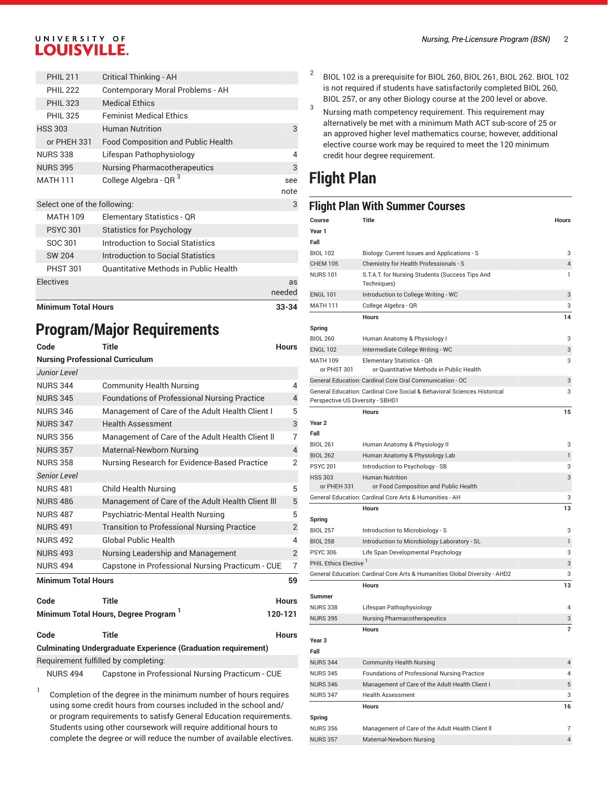### UNIVERSITY OF **LOUISVILLE.**

| <b>Minimum Total Hours</b>   |                                              | 33-34        |
|------------------------------|----------------------------------------------|--------------|
| <b>Electives</b>             |                                              | as<br>needed |
| <b>PHST 301</b>              | <b>Ouantitative Methods in Public Health</b> |              |
| <b>SW 204</b>                | Introduction to Social Statistics            |              |
| SOC 301                      | Introduction to Social Statistics            |              |
| <b>PSYC 301</b>              | <b>Statistics for Psychology</b>             |              |
| <b>MATH 109</b>              | <b>Elementary Statistics - QR</b>            |              |
| Select one of the following: |                                              | 3            |
| <b>MATH 111</b>              | College Algebra - QR <sup>3</sup>            | see<br>note  |
| <b>NURS 395</b>              | <b>Nursing Pharmacotherapeutics</b>          | 3            |
| <b>NURS 338</b>              | Lifespan Pathophysiology                     | 4            |
| or PHEH 331                  | <b>Food Composition and Public Health</b>    |              |
| <b>HSS 303</b>               | <b>Human Nutrition</b>                       | 3            |
| <b>PHIL 325</b>              | <b>Feminist Medical Ethics</b>               |              |
| <b>PHIL 323</b>              | <b>Medical Ethics</b>                        |              |
| <b>PHIL 222</b>              | Contemporary Moral Problems - AH             |              |
| <b>PHIL 211</b>              | Critical Thinking - AH                       |              |

## **Program/Major Requirements**

| Code                                                                 | <b>Title</b>                                                                                                  | <b>Hours</b>   |  |  |
|----------------------------------------------------------------------|---------------------------------------------------------------------------------------------------------------|----------------|--|--|
| <b>Nursing Professional Curriculum</b>                               |                                                                                                               |                |  |  |
| <b>Junior Level</b>                                                  |                                                                                                               |                |  |  |
| <b>NURS 344</b>                                                      | <b>Community Health Nursing</b>                                                                               | 4              |  |  |
| <b>NURS 345</b>                                                      | <b>Foundations of Professional Nursing Practice</b>                                                           | $\overline{4}$ |  |  |
| <b>NURS 346</b>                                                      | Management of Care of the Adult Health Client I                                                               | 5              |  |  |
| <b>NURS 347</b>                                                      | <b>Health Assessment</b>                                                                                      | 3              |  |  |
| <b>NURS 356</b>                                                      | Management of Care of the Adult Health Client II                                                              | $\overline{7}$ |  |  |
| <b>NURS 357</b>                                                      | Maternal-Newborn Nursing                                                                                      | $\overline{4}$ |  |  |
| <b>NURS 358</b>                                                      | Nursing Research for Evidence-Based Practice                                                                  | 2              |  |  |
| <b>Senior Level</b>                                                  |                                                                                                               |                |  |  |
| <b>NURS 481</b>                                                      | <b>Child Health Nursing</b>                                                                                   | 5              |  |  |
| <b>NURS 486</b>                                                      | Management of Care of the Adult Health Client III                                                             | 5              |  |  |
| <b>NURS 487</b>                                                      | Psychiatric-Mental Health Nursing                                                                             | 5              |  |  |
| <b>NURS 491</b>                                                      | <b>Transition to Professional Nursing Practice</b>                                                            | $\overline{2}$ |  |  |
| <b>NURS 492</b>                                                      | <b>Global Public Health</b>                                                                                   | 4              |  |  |
| <b>NURS 493</b>                                                      | Nursing Leadership and Management                                                                             | $\overline{2}$ |  |  |
| <b>NURS 494</b>                                                      | Capstone in Professional Nursing Practicum - CUE                                                              | $\overline{7}$ |  |  |
| <b>Minimum Total Hours</b>                                           |                                                                                                               | 59             |  |  |
| Code                                                                 | Title                                                                                                         | <b>Hours</b>   |  |  |
|                                                                      | Minimum Total Hours, Degree Program                                                                           | 120-121        |  |  |
| Code                                                                 | <b>Title</b>                                                                                                  | <b>Hours</b>   |  |  |
| <b>Culminating Undergraduate Experience (Graduation requirement)</b> |                                                                                                               |                |  |  |
|                                                                      | Requirement fulfilled by completing:                                                                          |                |  |  |
| <b>NURS 494</b>                                                      | Capstone in Professional Nursing Practicum - CUE                                                              |                |  |  |
| 1                                                                    | $\alpha$ , and in the set of the set of a same set of the set of the same constraint of a set of the same set |                |  |  |

Completion of the degree in the minimum number of hours requires using some credit hours from courses included in the school and/ or program requirements to satisfy General Education requirements. Students using other coursework will require additional hours to complete the degree or will reduce the number of available electives. 2 BIOL 102 is a prerequisite for BIOL 260, BIOL 261, BIOL 262. BIOL 102 is not required if students have satisfactorily completed BIOL 260, BIOL 257, or any other Biology course at the 200 level or above.

3 Nursing math competency requirement. This requirement may alternatively be met with a minimum Math ACT sub-score of 25 or an approved higher level mathematics course; however, additional elective course work may be required to meet the 120 minimum credit hour degree requirement.

## **Flight Plan**

### **Flight Plan With Summer Courses**

| Course                            | Title                                                                           | Hours               |
|-----------------------------------|---------------------------------------------------------------------------------|---------------------|
| Year 1                            |                                                                                 |                     |
| Fall                              |                                                                                 |                     |
| <b>BIOL 102</b>                   | Biology: Current Issues and Applications - S                                    | 3                   |
| <b>CHEM 105</b>                   | Chemistry for Health Professionals - S                                          | $\overline{4}$      |
| NURS 101                          | S.T.A.T. for Nursing Students (Success Tips And<br>Techniques)                  | 1                   |
| <b>ENGL 101</b>                   | Introduction to College Writing - WC                                            | 3                   |
| MATH 111                          | College Algebra - QR                                                            | 3                   |
|                                   | <b>Hours</b>                                                                    | 14                  |
| Spring                            |                                                                                 |                     |
| <b>BIOL 260</b>                   | Human Anatomy & Physiology I                                                    | 3                   |
| <b>ENGL 102</b>                   | Intermediate College Writing - WC                                               | 3                   |
| MATH 109<br>or PHST 301           | Elementary Statistics - QR<br>or Quantitative Methods in Public Health          | 3                   |
|                                   | General Education: Cardinal Core Oral Communication - OC                        | 3                   |
| Perspective US Diversity - SBHD1  | General Education: Cardinal Core Social & Behavioral Sciences Historical        | 3                   |
|                                   | <b>Hours</b>                                                                    | 15                  |
| Year 2                            |                                                                                 |                     |
| Fall                              |                                                                                 |                     |
| <b>BIOL 261</b>                   | Human Anatomy & Physiology II                                                   | 3                   |
| <b>BIOL 262</b>                   | Human Anatomy & Physiology Lab                                                  | 1                   |
| <b>PSYC 201</b>                   | Introduction to Psychology - SB                                                 | 3                   |
| <b>HSS 303</b><br>or PHEH 331     | <b>Human Nutrition</b><br>or Food Composition and Public Health                 | 3                   |
|                                   | General Education: Cardinal Core Arts & Humanities - AH                         | 3                   |
|                                   | <b>Hours</b>                                                                    | 13                  |
| Spring                            |                                                                                 |                     |
| <b>BIOL 257</b>                   | Introduction to Microbiology - S                                                | 3                   |
| <b>BIOL 258</b>                   | Introduction to Microbiology Laboratory - SL                                    | 1                   |
| <b>PSYC 306</b>                   | Life Span Developmental Psychology                                              | 3                   |
| PHIL Ethics Elective <sup>1</sup> |                                                                                 | 3                   |
|                                   | General Education: Cardinal Core Arts & Humanities Global Diversity - AHD2      | 3                   |
|                                   | <b>Hours</b>                                                                    | 13                  |
| Summer                            |                                                                                 |                     |
| <b>NURS 338</b>                   | Lifespan Pathophysiology                                                        | 4                   |
| <b>NURS 395</b>                   | <b>Nursing Pharmacotherapeutics</b>                                             | 3                   |
|                                   | <b>Hours</b>                                                                    | $\overline{7}$      |
| Year 3                            |                                                                                 |                     |
| Fall                              |                                                                                 |                     |
| NURS 344<br><b>NURS 345</b>       | <b>Community Health Nursing</b><br>Foundations of Professional Nursing Practice | $\overline{4}$<br>4 |
| <b>NURS 346</b>                   | Management of Care of the Adult Health Client I                                 | 5                   |
| <b>NURS 347</b>                   | <b>Health Assessment</b>                                                        | 3                   |
|                                   | <b>Hours</b>                                                                    | 16                  |
| Spring                            |                                                                                 |                     |
| <b>NURS 356</b>                   | Management of Care of the Adult Health Client II                                | 7                   |
| <b>NURS 357</b>                   | Maternal-Newborn Nursing                                                        | $\overline{4}$      |
|                                   |                                                                                 |                     |